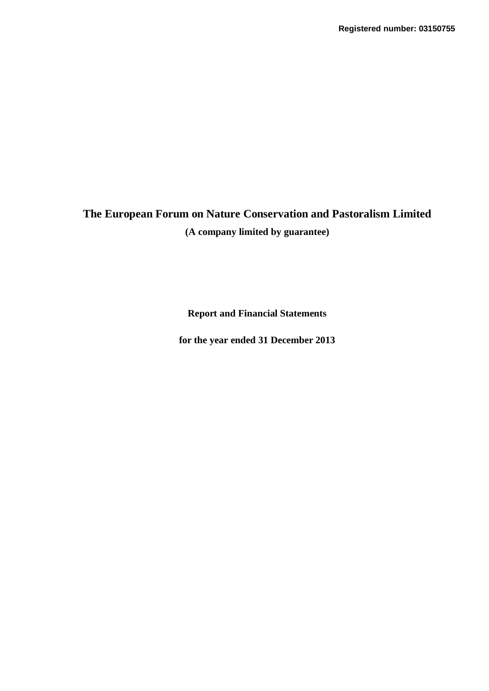**Report and Financial Statements**

**for the year ended 31 December 2013**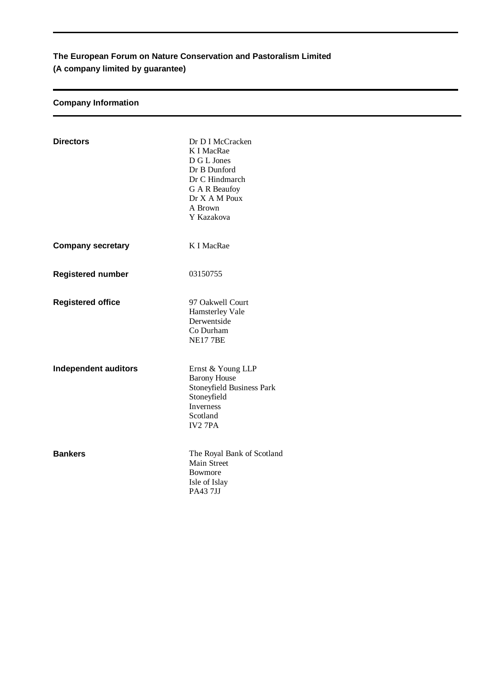## **Company Information**

| <b>Directors</b>            | Dr D I McCracken<br>K I MacRae<br>D G L Jones<br>Dr B Dunford<br>Dr C Hindmarch<br>G A R Beaufoy<br>Dr X A M Poux<br>A Brown<br>Y Kazakova |
|-----------------------------|--------------------------------------------------------------------------------------------------------------------------------------------|
| <b>Company secretary</b>    | K I MacRae                                                                                                                                 |
| <b>Registered number</b>    | 03150755                                                                                                                                   |
| <b>Registered office</b>    | 97 Oakwell Court<br>Hamsterley Vale<br>Derwentside<br>Co Durham<br><b>NE177BE</b>                                                          |
| <b>Independent auditors</b> | Ernst & Young LLP<br><b>Barony House</b><br>Stoneyfield Business Park<br>Stoneyfield<br>Inverness<br>Scotland<br><b>IV2 7PA</b>            |
| <b>Bankers</b>              | The Royal Bank of Scotland<br>Main Street<br>Bowmore<br>Isle of Islay<br>PA43 7JJ                                                          |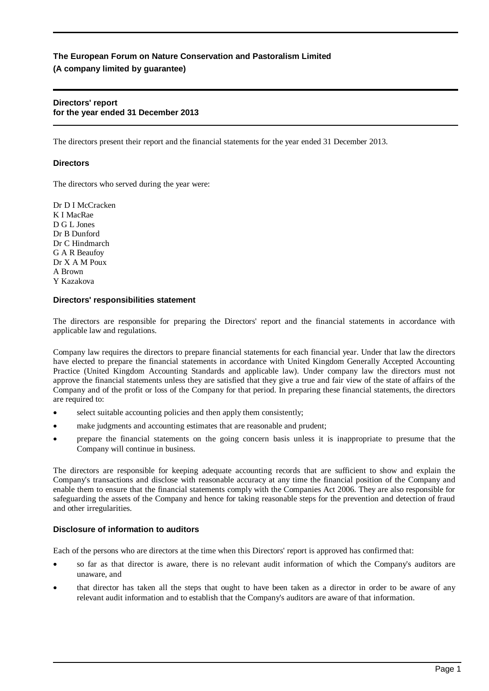## **Directors' report for the year ended 31 December 2013**

The directors present their report and the financial statements for the year ended 31 December 2013.

## **Directors**

The directors who served during the year were:

Dr D I McCracken K I MacRae D G L Jones Dr B Dunford Dr C Hindmarch G A R Beaufoy Dr X A M Poux A Brown Y Kazakova

### **Directors' responsibilities statement**

The directors are responsible for preparing the Directors' report and the financial statements in accordance with applicable law and regulations.

Company law requires the directors to prepare financial statements for each financial year. Under that law the directors have elected to prepare the financial statements in accordance with United Kingdom Generally Accepted Accounting Practice (United Kingdom Accounting Standards and applicable law). Under company law the directors must not approve the financial statements unless they are satisfied that they give a true and fair view of the state of affairs of the Company and of the profit or loss of the Company for that period. In preparing these financial statements, the directors are required to:

- select suitable accounting policies and then apply them consistently;
- make judgments and accounting estimates that are reasonable and prudent;
- · prepare the financial statements on the going concern basis unless it is inappropriate to presume that the Company will continue in business.

The directors are responsible for keeping adequate accounting records that are sufficient to show and explain the Company's transactions and disclose with reasonable accuracy at any time the financial position of the Company and enable them to ensure that the financial statements comply with the Companies Act 2006. They are also responsible for safeguarding the assets of the Company and hence for taking reasonable steps for the prevention and detection of fraud and other irregularities.

## **Disclosure of information to auditors**

Each of the persons who are directors at the time when this Directors' report is approved has confirmed that:

- so far as that director is aware, there is no relevant audit information of which the Company's auditors are unaware, and
- that director has taken all the steps that ought to have been taken as a director in order to be aware of any relevant audit information and to establish that the Company's auditors are aware of that information.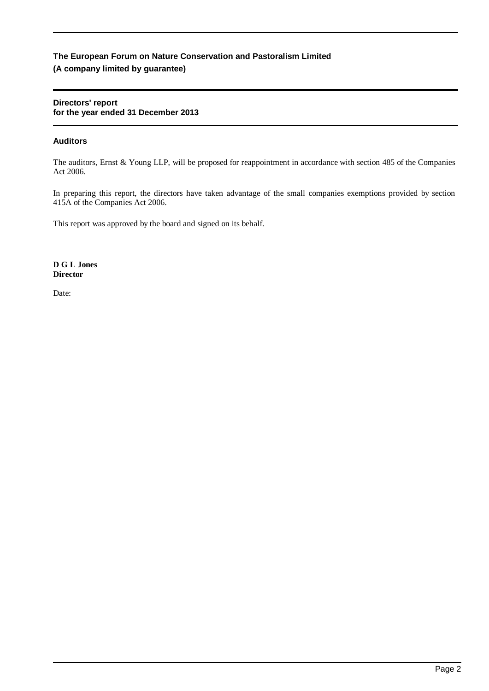## **Directors' report for the year ended 31 December 2013**

## **Auditors**

The auditors, Ernst & Young LLP, will be proposed for reappointment in accordance with section 485 of the Companies Act 2006.

In preparing this report, the directors have taken advantage of the small companies exemptions provided by section 415A of the Companies Act 2006.

This report was approved by the board and signed on its behalf.

**D G L Jones Director**

Date: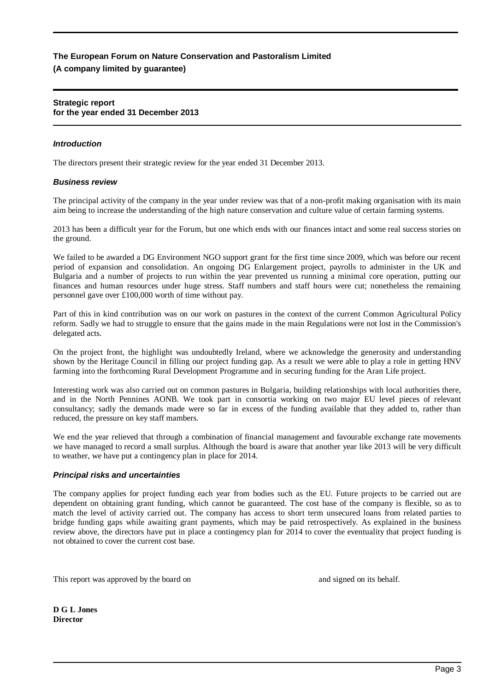## **Strategic report for the year ended 31 December 2013**

### *Introduction*

The directors present their strategic review for the year ended 31 December 2013.

### *Business review*

The principal activity of the company in the year under review was that of a non-profit making organisation with its main aim being to increase the understanding of the high nature conservation and culture value of certain farming systems.

2013 has been a difficult year for the Forum, but one which ends with our finances intact and some real success stories on the ground.

We failed to be awarded a DG Environment NGO support grant for the first time since 2009, which was before our recent period of expansion and consolidation. An ongoing DG Enlargement project, payrolls to administer in the UK and Bulgaria and a number of projects to run within the year prevented us running a minimal core operation, putting our finances and human resources under huge stress. Staff numbers and staff hours were cut; nonetheless the remaining personnel gave over £100,000 worth of time without pay.

Part of this in kind contribution was on our work on pastures in the context of the current Common Agricultural Policy reform. Sadly we had to struggle to ensure that the gains made in the main Regulations were not lost in the Commission's delegated acts.

On the project front, the highlight was undoubtedly Ireland, where we acknowledge the generosity and understanding shown by the Heritage Council in filling our project funding gap. As a result we were able to play a role in getting HNV farming into the forthcoming Rural Development Programme and in securing funding for the Aran Life project.

Interesting work was also carried out on common pastures in Bulgaria, building relationships with local authorities there, and in the North Pennines AONB. We took part in consortia working on two major EU level pieces of relevant consultancy; sadly the demands made were so far in excess of the funding available that they added to, rather than reduced, the pressure on key staff mambers.

We end the year relieved that through a combination of financial management and favourable exchange rate movements we have managed to record a small surplus. Although the board is aware that another year like 2013 will be very difficult to weather, we have put a contingency plan in place for 2014.

### *Principal risks and uncertainties*

The company applies for project funding each year from bodies such as the EU. Future projects to be carried out are dependent on obtaining grant funding, which cannot be guaranteed. The cost base of the company is flexible, so as to match the level of activity carried out. The company has access to short term unsecured loans from related parties to bridge funding gaps while awaiting grant payments, which may be paid retrospectively. As explained in the business review above, the directors have put in place a contingency plan for 2014 to cover the eventuality that project funding is not obtained to cover the current cost base.

This report was approved by the board on and signed on and signed on its behalf.

**D G L Jones Director**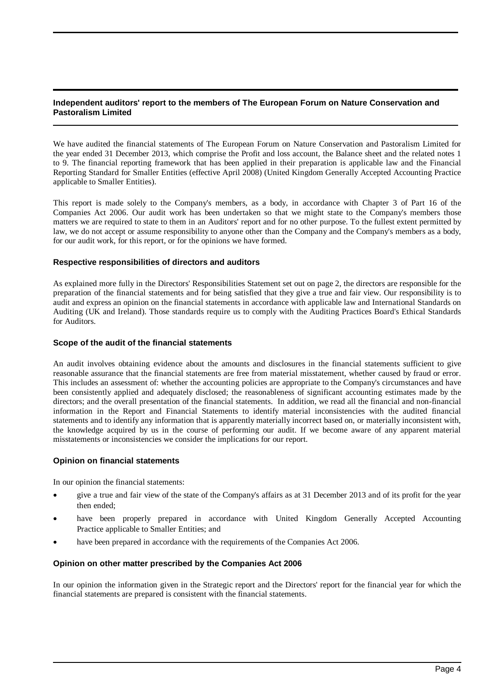## **Independent auditors' report to the members of The European Forum on Nature Conservation and Pastoralism Limited**

We have audited the financial statements of The European Forum on Nature Conservation and Pastoralism Limited for the year ended 31 December 2013, which comprise the Profit and loss account, the Balance sheet and the related notes 1 to 9. The financial reporting framework that has been applied in their preparation is applicable law and the Financial Reporting Standard for Smaller Entities (effective April 2008) (United Kingdom Generally Accepted Accounting Practice applicable to Smaller Entities).

This report is made solely to the Company's members, as a body, in accordance with Chapter 3 of Part 16 of the Companies Act 2006. Our audit work has been undertaken so that we might state to the Company's members those matters we are required to state to them in an Auditors' report and for no other purpose. To the fullest extent permitted by law, we do not accept or assume responsibility to anyone other than the Company and the Company's members as a body, for our audit work, for this report, or for the opinions we have formed.

### **Respective responsibilities of directors and auditors**

As explained more fully in the Directors' Responsibilities Statement set out on page 2, the directors are responsible for the preparation of the financial statements and for being satisfied that they give a true and fair view. Our responsibility is to audit and express an opinion on the financial statements in accordance with applicable law and International Standards on Auditing (UK and Ireland). Those standards require us to comply with the Auditing Practices Board's Ethical Standards for Auditors.

### **Scope of the audit of the financial statements**

An audit involves obtaining evidence about the amounts and disclosures in the financial statements sufficient to give reasonable assurance that the financial statements are free from material misstatement, whether caused by fraud or error. This includes an assessment of: whether the accounting policies are appropriate to the Company's circumstances and have been consistently applied and adequately disclosed; the reasonableness of significant accounting estimates made by the directors; and the overall presentation of the financial statements. In addition, we read all the financial and non-financial information in the Report and Financial Statements to identify material inconsistencies with the audited financial statements and to identify any information that is apparently materially incorrect based on, or materially inconsistent with, the knowledge acquired by us in the course of performing our audit. If we become aware of any apparent material misstatements or inconsistencies we consider the implications for our report.

## **Opinion on financial statements**

In our opinion the financial statements:

- give a true and fair view of the state of the Company's affairs as at 31 December 2013 and of its profit for the year then ended;
- have been properly prepared in accordance with United Kingdom Generally Accepted Accounting Practice applicable to Smaller Entities; and
- have been prepared in accordance with the requirements of the Companies Act 2006.

### **Opinion on other matter prescribed by the Companies Act 2006**

In our opinion the information given in the Strategic report and the Directors' report for the financial year for which the financial statements are prepared is consistent with the financial statements.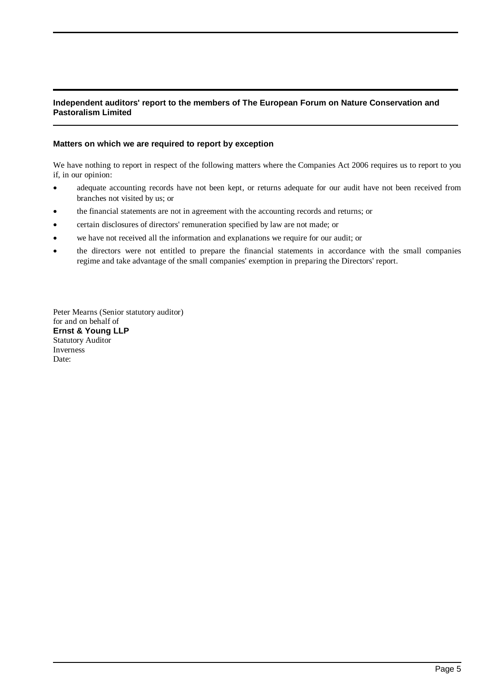## **Independent auditors' report to the members of The European Forum on Nature Conservation and Pastoralism Limited**

## **Matters on which we are required to report by exception**

We have nothing to report in respect of the following matters where the Companies Act 2006 requires us to report to you if, in our opinion:

- · adequate accounting records have not been kept, or returns adequate for our audit have not been received from branches not visited by us; or
- · the financial statements are not in agreement with the accounting records and returns; or
- · certain disclosures of directors' remuneration specified by law are not made; or
- we have not received all the information and explanations we require for our audit; or
- the directors were not entitled to prepare the financial statements in accordance with the small companies regime and take advantage of the small companies' exemption in preparing the Directors' report.

Peter Mearns (Senior statutory auditor) for and on behalf of **Ernst & Young LLP** Statutory Auditor Inverness Date: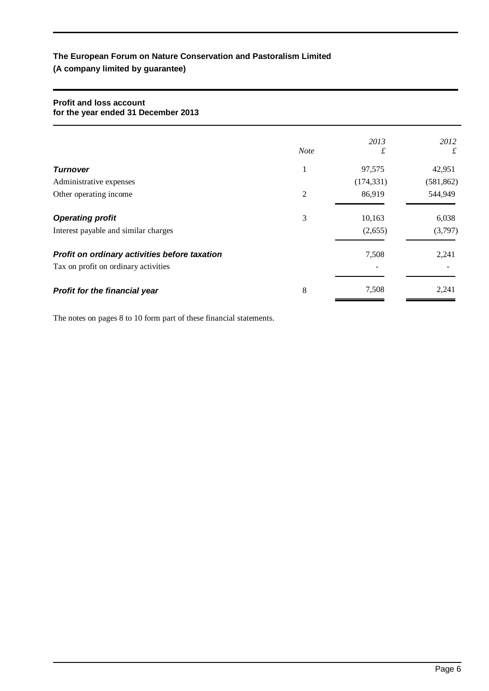## **Profit and loss account for the year ended 31 December 2013**

|                                               | <b>Note</b>    | 2013<br>£  | 2012<br>£  |
|-----------------------------------------------|----------------|------------|------------|
| <b>Turnover</b>                               | $\mathbf{1}$   | 97,575     | 42,951     |
| Administrative expenses                       |                | (174, 331) | (581, 862) |
| Other operating income                        | $\overline{2}$ | 86,919     | 544,949    |
| <b>Operating profit</b>                       | 3              | 10,163     | 6,038      |
| Interest payable and similar charges          |                | (2,655)    | (3,797)    |
| Profit on ordinary activities before taxation |                | 7,508      | 2,241      |
| Tax on profit on ordinary activities          |                |            |            |
| <b>Profit for the financial year</b>          | 8              | 7,508      | 2,241      |

The notes on pages 8 to 10 form part of these financial statements.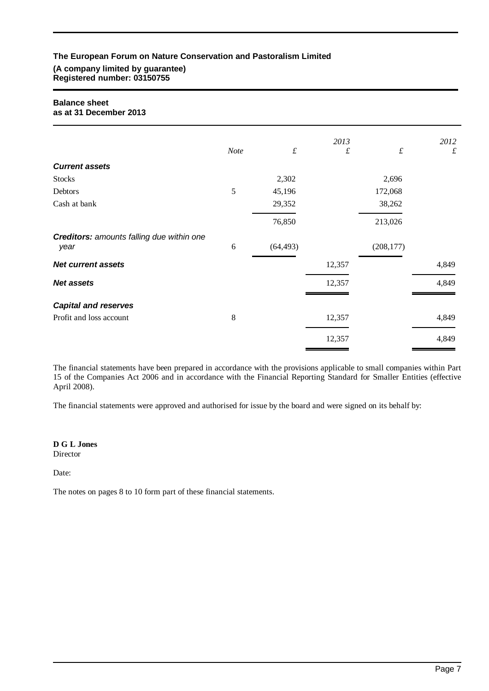**Registered number: 03150755**

### **Balance sheet as at 31 December 2013**

|                                                          | <b>Note</b> | $\pounds$ | 2013<br>$\pounds$ | $\pounds$  | 2012<br>$\pounds$ |
|----------------------------------------------------------|-------------|-----------|-------------------|------------|-------------------|
| <b>Current assets</b>                                    |             |           |                   |            |                   |
| <b>Stocks</b>                                            |             | 2,302     |                   | 2,696      |                   |
| Debtors                                                  | 5           | 45,196    |                   | 172,068    |                   |
| Cash at bank                                             |             | 29,352    |                   | 38,262     |                   |
|                                                          |             | 76,850    |                   | 213,026    |                   |
| <b>Creditors:</b> amounts falling due within one<br>year | 6           | (64, 493) |                   | (208, 177) |                   |
| <b>Net current assets</b>                                |             |           | 12,357            |            | 4,849             |
| <b>Net assets</b>                                        |             |           | 12,357            |            | 4,849             |
| <b>Capital and reserves</b>                              |             |           |                   |            |                   |
| Profit and loss account                                  | 8           |           | 12,357            |            | 4,849             |
|                                                          |             |           | 12,357            |            | 4,849             |

The financial statements have been prepared in accordance with the provisions applicable to small companies within Part 15 of the Companies Act 2006 and in accordance with the Financial Reporting Standard for Smaller Entities (effective April 2008).

The financial statements were approved and authorised for issue by the board and were signed on its behalf by:

#### **D G L Jones** Director

Date:

The notes on pages 8 to 10 form part of these financial statements.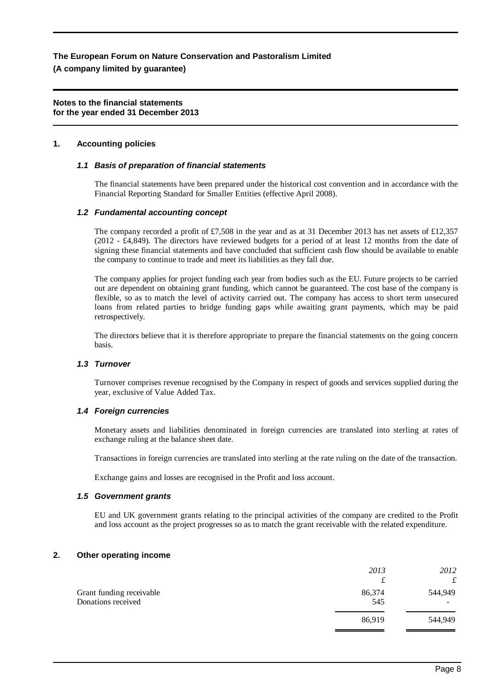**Notes to the financial statements for the year ended 31 December 2013**

### **1. Accounting policies**

### *1.1 Basis of preparation of financial statements*

The financial statements have been prepared under the historical cost convention and in accordance with the Financial Reporting Standard for Smaller Entities (effective April 2008).

## *1.2 Fundamental accounting concept*

The company recorded a profit of £7,508 in the year and as at 31 December 2013 has net assets of £12,357 (2012 - £4,849). The directors have reviewed budgets for a period of at least 12 months from the date of signing these financial statements and have concluded that sufficient cash flow should be available to enable the company to continue to trade and meet its liabilities as they fall due.

The company applies for project funding each year from bodies such as the EU. Future projects to be carried out are dependent on obtaining grant funding, which cannot be guaranteed. The cost base of the company is flexible, so as to match the level of activity carried out. The company has access to short term unsecured loans from related parties to bridge funding gaps while awaiting grant payments, which may be paid retrospectively.

The directors believe that it is therefore appropriate to prepare the financial statements on the going concern basis.

### *1.3 Turnover*

Turnover comprises revenue recognised by the Company in respect of goods and services supplied during the year, exclusive of Value Added Tax.

## *1.4 Foreign currencies*

Monetary assets and liabilities denominated in foreign currencies are translated into sterling at rates of exchange ruling at the balance sheet date.

Transactions in foreign currencies are translated into sterling at the rate ruling on the date of the transaction.

Exchange gains and losses are recognised in the Profit and loss account.

### *1.5 Government grants*

EU and UK government grants relating to the principal activities of the company are credited to the Profit and loss account as the project progresses so as to match the grant receivable with the related expenditure.

## **2. Other operating income**

|                          | 2013<br>£ | 2012    |
|--------------------------|-----------|---------|
| Grant funding receivable | 86,374    | 544,949 |
| Donations received       | 545       |         |
|                          | 86,919    | 544,949 |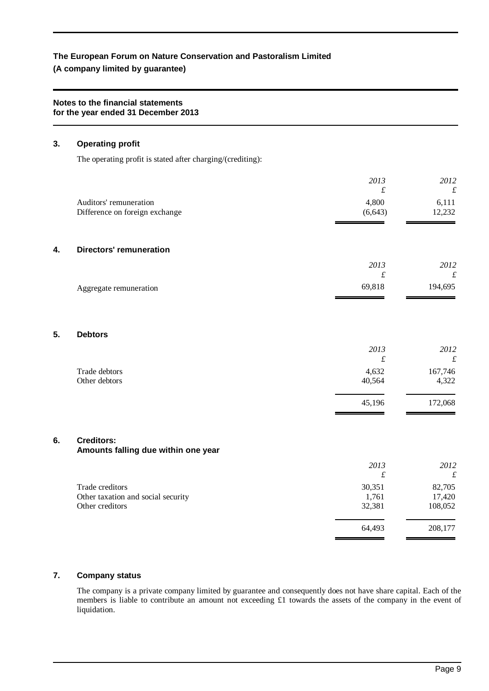## **Notes to the financial statements for the year ended 31 December 2013**

## **3. Operating profit**

The operating profit is stated after charging/(crediting):

| £                 | 2012<br>£       |
|-------------------|-----------------|
| 4,800<br>(6, 643) | 6,111<br>12,232 |
|                   |                 |
| 2013<br>£         | 2012<br>£       |
| 69,818            | 194,695         |
|                   |                 |

## **5. Debtors**

|               | 2013   | 2012    |
|---------------|--------|---------|
|               | £      | £       |
| Trade debtors | 4,632  | 167,746 |
| Other debtors | 40,564 | 4,322   |
|               |        |         |
|               | 45,196 | 172,068 |

### **6. Creditors:**

**Amounts falling due within one year**

|                                    | 2013   | 2012    |
|------------------------------------|--------|---------|
|                                    |        | £       |
| Trade creditors                    | 30,351 | 82,705  |
| Other taxation and social security | 1,761  | 17,420  |
| Other creditors                    | 32,381 | 108,052 |
|                                    | 64,493 | 208,177 |

## **7. Company status**

The company is a private company limited by guarantee and consequently does not have share capital. Each of the members is liable to contribute an amount not exceeding £1 towards the assets of the company in the event of liquidation.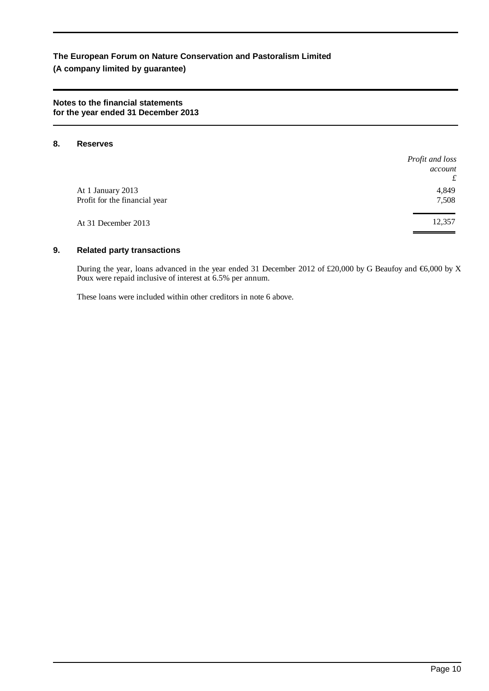## **Notes to the financial statements for the year ended 31 December 2013**

## **8. Reserves**

|                                                    | Profit and loss<br>account<br>£ |
|----------------------------------------------------|---------------------------------|
| At 1 January 2013<br>Profit for the financial year | 4,849<br>7,508                  |
| At 31 December 2013                                | 12,357                          |

## **9. Related party transactions**

During the year, loans advanced in the year ended 31 December 2012 of £20,000 by G Beaufoy and €6,000 by X Poux were repaid inclusive of interest at 6.5% per annum.

These loans were included within other creditors in note 6 above.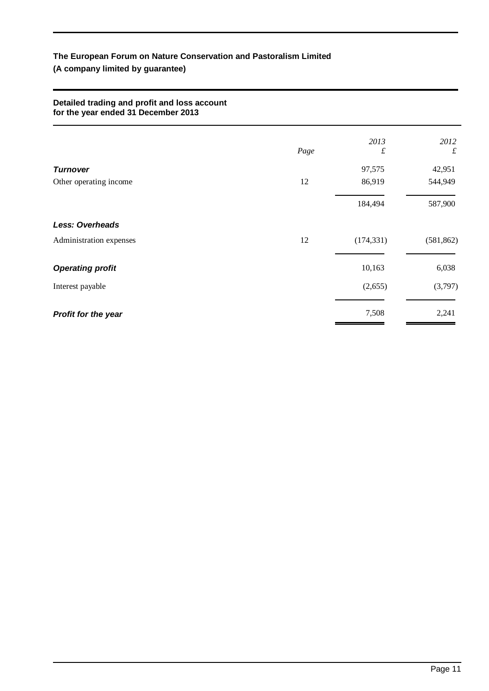## **Detailed trading and profit and loss account for the year ended 31 December 2013**

|                         | Page | 2013<br>£  | 2012<br>$\pounds$ |
|-------------------------|------|------------|-------------------|
| <b>Turnover</b>         |      | 97,575     | 42,951            |
| Other operating income  | 12   | 86,919     | 544,949           |
|                         |      | 184,494    | 587,900           |
| <b>Less: Overheads</b>  |      |            |                   |
| Administration expenses | 12   | (174, 331) | (581, 862)        |
| <b>Operating profit</b> |      | 10,163     | 6,038             |
| Interest payable        |      | (2,655)    | (3,797)           |
| Profit for the year     |      | 7,508      | 2,241             |